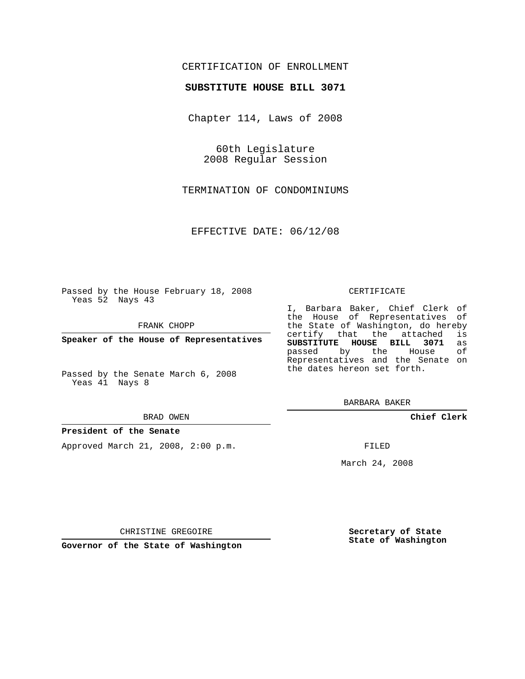# CERTIFICATION OF ENROLLMENT

## **SUBSTITUTE HOUSE BILL 3071**

Chapter 114, Laws of 2008

60th Legislature 2008 Regular Session

TERMINATION OF CONDOMINIUMS

EFFECTIVE DATE: 06/12/08

Passed by the House February 18, 2008 Yeas 52 Nays 43

FRANK CHOPP

**Speaker of the House of Representatives**

Passed by the Senate March 6, 2008 Yeas 41 Nays 8

#### BRAD OWEN

### **President of the Senate**

Approved March 21, 2008, 2:00 p.m.

#### CERTIFICATE

I, Barbara Baker, Chief Clerk of the House of Representatives of the State of Washington, do hereby certify that the attached is **SUBSTITUTE HOUSE BILL 3071** as passed by the House Representatives and the Senate on the dates hereon set forth.

BARBARA BAKER

**Chief Clerk**

FILED

March 24, 2008

CHRISTINE GREGOIRE

**Governor of the State of Washington**

**Secretary of State State of Washington**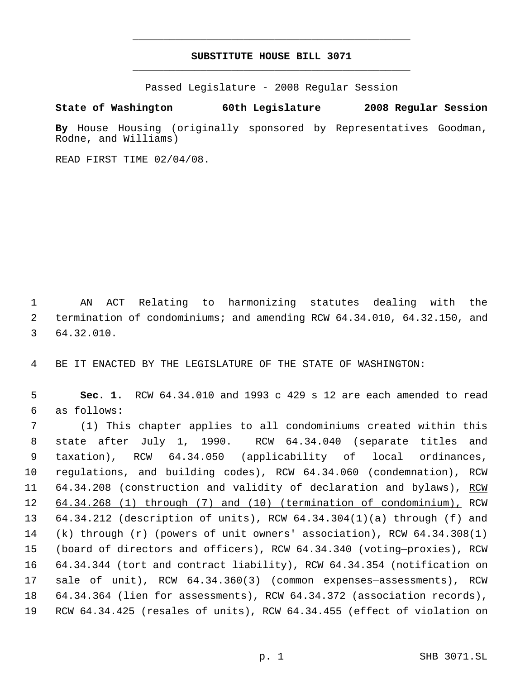# **SUBSTITUTE HOUSE BILL 3071** \_\_\_\_\_\_\_\_\_\_\_\_\_\_\_\_\_\_\_\_\_\_\_\_\_\_\_\_\_\_\_\_\_\_\_\_\_\_\_\_\_\_\_\_\_

\_\_\_\_\_\_\_\_\_\_\_\_\_\_\_\_\_\_\_\_\_\_\_\_\_\_\_\_\_\_\_\_\_\_\_\_\_\_\_\_\_\_\_\_\_

Passed Legislature - 2008 Regular Session

## **State of Washington 60th Legislature 2008 Regular Session**

**By** House Housing (originally sponsored by Representatives Goodman, Rodne, and Williams)

READ FIRST TIME 02/04/08.

 AN ACT Relating to harmonizing statutes dealing with the termination of condominiums; and amending RCW 64.34.010, 64.32.150, and 64.32.010.

BE IT ENACTED BY THE LEGISLATURE OF THE STATE OF WASHINGTON:

 **Sec. 1.** RCW 64.34.010 and 1993 c 429 s 12 are each amended to read as follows:

 (1) This chapter applies to all condominiums created within this state after July 1, 1990. RCW 64.34.040 (separate titles and taxation), RCW 64.34.050 (applicability of local ordinances, regulations, and building codes), RCW 64.34.060 (condemnation), RCW 11 64.34.208 (construction and validity of declaration and bylaws), RCW 64.34.268 (1) through (7) and (10) (termination of condominium), RCW 64.34.212 (description of units), RCW 64.34.304(1)(a) through (f) and (k) through (r) (powers of unit owners' association), RCW 64.34.308(1) (board of directors and officers), RCW 64.34.340 (voting—proxies), RCW 64.34.344 (tort and contract liability), RCW 64.34.354 (notification on sale of unit), RCW 64.34.360(3) (common expenses—assessments), RCW 64.34.364 (lien for assessments), RCW 64.34.372 (association records), RCW 64.34.425 (resales of units), RCW 64.34.455 (effect of violation on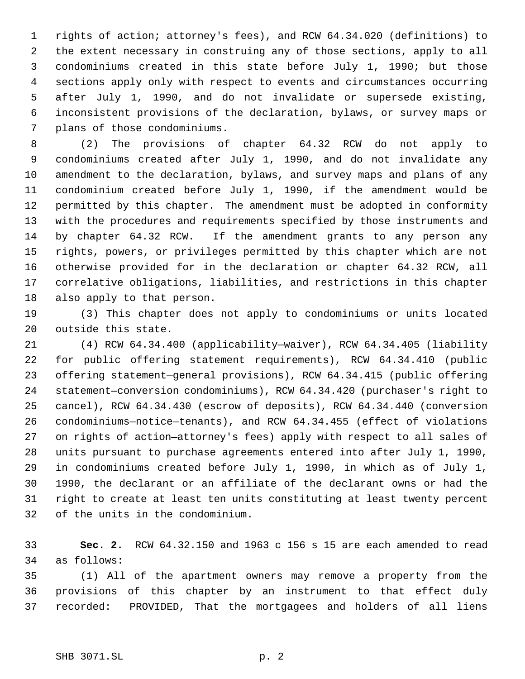rights of action; attorney's fees), and RCW 64.34.020 (definitions) to the extent necessary in construing any of those sections, apply to all condominiums created in this state before July 1, 1990; but those sections apply only with respect to events and circumstances occurring after July 1, 1990, and do not invalidate or supersede existing, inconsistent provisions of the declaration, bylaws, or survey maps or plans of those condominiums.

 (2) The provisions of chapter 64.32 RCW do not apply to condominiums created after July 1, 1990, and do not invalidate any amendment to the declaration, bylaws, and survey maps and plans of any condominium created before July 1, 1990, if the amendment would be permitted by this chapter. The amendment must be adopted in conformity with the procedures and requirements specified by those instruments and by chapter 64.32 RCW. If the amendment grants to any person any rights, powers, or privileges permitted by this chapter which are not otherwise provided for in the declaration or chapter 64.32 RCW, all correlative obligations, liabilities, and restrictions in this chapter also apply to that person.

 (3) This chapter does not apply to condominiums or units located outside this state.

 (4) RCW 64.34.400 (applicability—waiver), RCW 64.34.405 (liability for public offering statement requirements), RCW 64.34.410 (public offering statement—general provisions), RCW 64.34.415 (public offering statement—conversion condominiums), RCW 64.34.420 (purchaser's right to cancel), RCW 64.34.430 (escrow of deposits), RCW 64.34.440 (conversion condominiums—notice—tenants), and RCW 64.34.455 (effect of violations on rights of action—attorney's fees) apply with respect to all sales of units pursuant to purchase agreements entered into after July 1, 1990, in condominiums created before July 1, 1990, in which as of July 1, 1990, the declarant or an affiliate of the declarant owns or had the right to create at least ten units constituting at least twenty percent of the units in the condominium.

 **Sec. 2.** RCW 64.32.150 and 1963 c 156 s 15 are each amended to read as follows:

 (1) All of the apartment owners may remove a property from the provisions of this chapter by an instrument to that effect duly recorded: PROVIDED, That the mortgagees and holders of all liens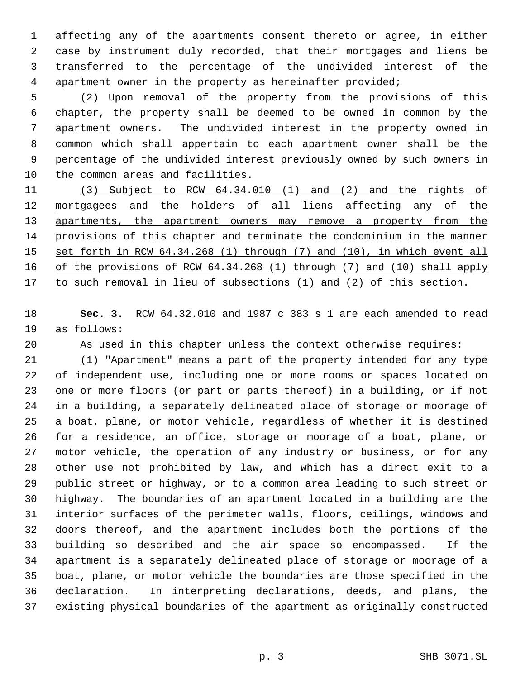affecting any of the apartments consent thereto or agree, in either case by instrument duly recorded, that their mortgages and liens be transferred to the percentage of the undivided interest of the apartment owner in the property as hereinafter provided;

 (2) Upon removal of the property from the provisions of this chapter, the property shall be deemed to be owned in common by the apartment owners. The undivided interest in the property owned in common which shall appertain to each apartment owner shall be the percentage of the undivided interest previously owned by such owners in the common areas and facilities.

 (3) Subject to RCW 64.34.010 (1) and (2) and the rights of 12 mortgagees and the holders of all liens affecting any of the 13 apartments, the apartment owners may remove a property from the provisions of this chapter and terminate the condominium in the manner set forth in RCW 64.34.268 (1) through (7) and (10), in which event all of the provisions of RCW 64.34.268 (1) through (7) and (10) shall apply 17 to such removal in lieu of subsections (1) and (2) of this section.

 **Sec. 3.** RCW 64.32.010 and 1987 c 383 s 1 are each amended to read as follows:

As used in this chapter unless the context otherwise requires:

 (1) "Apartment" means a part of the property intended for any type of independent use, including one or more rooms or spaces located on one or more floors (or part or parts thereof) in a building, or if not in a building, a separately delineated place of storage or moorage of a boat, plane, or motor vehicle, regardless of whether it is destined for a residence, an office, storage or moorage of a boat, plane, or motor vehicle, the operation of any industry or business, or for any other use not prohibited by law, and which has a direct exit to a public street or highway, or to a common area leading to such street or highway. The boundaries of an apartment located in a building are the interior surfaces of the perimeter walls, floors, ceilings, windows and doors thereof, and the apartment includes both the portions of the building so described and the air space so encompassed. If the apartment is a separately delineated place of storage or moorage of a boat, plane, or motor vehicle the boundaries are those specified in the declaration. In interpreting declarations, deeds, and plans, the existing physical boundaries of the apartment as originally constructed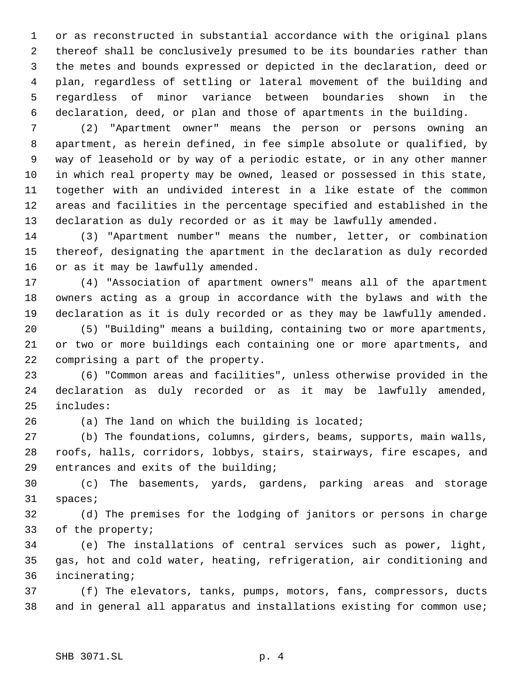or as reconstructed in substantial accordance with the original plans thereof shall be conclusively presumed to be its boundaries rather than the metes and bounds expressed or depicted in the declaration, deed or plan, regardless of settling or lateral movement of the building and regardless of minor variance between boundaries shown in the declaration, deed, or plan and those of apartments in the building.

 (2) "Apartment owner" means the person or persons owning an apartment, as herein defined, in fee simple absolute or qualified, by way of leasehold or by way of a periodic estate, or in any other manner in which real property may be owned, leased or possessed in this state, together with an undivided interest in a like estate of the common areas and facilities in the percentage specified and established in the declaration as duly recorded or as it may be lawfully amended.

 (3) "Apartment number" means the number, letter, or combination thereof, designating the apartment in the declaration as duly recorded or as it may be lawfully amended.

 (4) "Association of apartment owners" means all of the apartment owners acting as a group in accordance with the bylaws and with the declaration as it is duly recorded or as they may be lawfully amended.

 (5) "Building" means a building, containing two or more apartments, or two or more buildings each containing one or more apartments, and comprising a part of the property.

 (6) "Common areas and facilities", unless otherwise provided in the declaration as duly recorded or as it may be lawfully amended, includes:

(a) The land on which the building is located;

 (b) The foundations, columns, girders, beams, supports, main walls, roofs, halls, corridors, lobbys, stairs, stairways, fire escapes, and entrances and exits of the building;

 (c) The basements, yards, gardens, parking areas and storage spaces;

 (d) The premises for the lodging of janitors or persons in charge of the property;

 (e) The installations of central services such as power, light, gas, hot and cold water, heating, refrigeration, air conditioning and incinerating;

 (f) The elevators, tanks, pumps, motors, fans, compressors, ducts and in general all apparatus and installations existing for common use;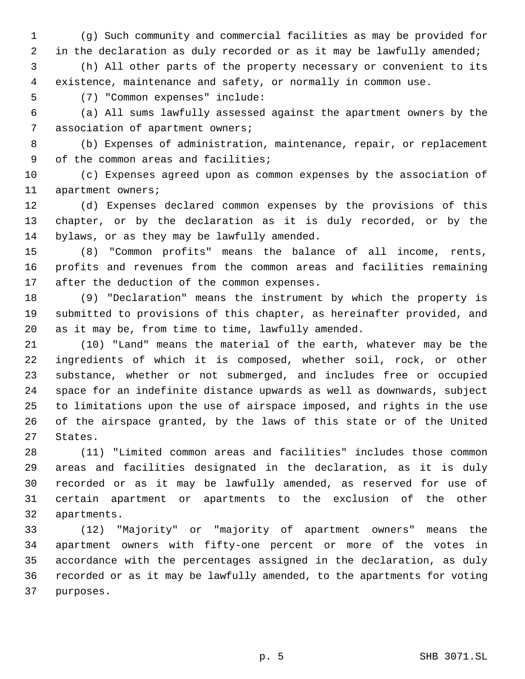(g) Such community and commercial facilities as may be provided for 2 in the declaration as duly recorded or as it may be lawfully amended;

 (h) All other parts of the property necessary or convenient to its existence, maintenance and safety, or normally in common use.

(7) "Common expenses" include:

 (a) All sums lawfully assessed against the apartment owners by the association of apartment owners;

 (b) Expenses of administration, maintenance, repair, or replacement 9 of the common areas and facilities;

 (c) Expenses agreed upon as common expenses by the association of apartment owners;

 (d) Expenses declared common expenses by the provisions of this chapter, or by the declaration as it is duly recorded, or by the bylaws, or as they may be lawfully amended.

 (8) "Common profits" means the balance of all income, rents, profits and revenues from the common areas and facilities remaining after the deduction of the common expenses.

 (9) "Declaration" means the instrument by which the property is submitted to provisions of this chapter, as hereinafter provided, and as it may be, from time to time, lawfully amended.

 (10) "Land" means the material of the earth, whatever may be the ingredients of which it is composed, whether soil, rock, or other substance, whether or not submerged, and includes free or occupied space for an indefinite distance upwards as well as downwards, subject to limitations upon the use of airspace imposed, and rights in the use of the airspace granted, by the laws of this state or of the United States.

 (11) "Limited common areas and facilities" includes those common areas and facilities designated in the declaration, as it is duly recorded or as it may be lawfully amended, as reserved for use of certain apartment or apartments to the exclusion of the other apartments.

 (12) "Majority" or "majority of apartment owners" means the apartment owners with fifty-one percent or more of the votes in accordance with the percentages assigned in the declaration, as duly recorded or as it may be lawfully amended, to the apartments for voting purposes.